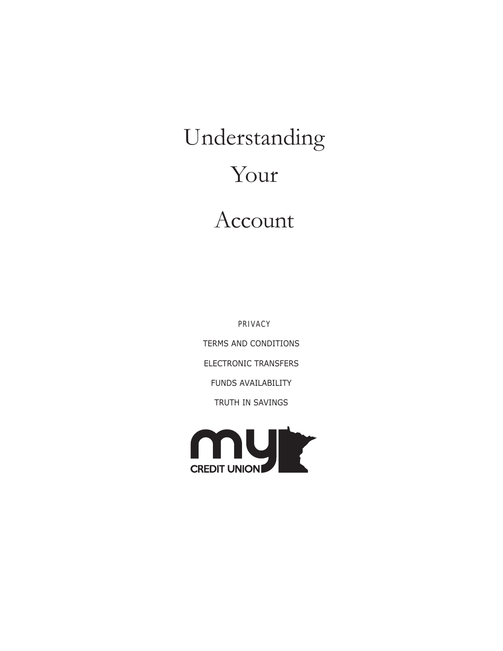# Understanding Your Account

PRIVACY TERMS AND CONDITIONS ELECTRONIC TRANSFERS FUNDS AVAILABILITY TRUTH IN SAVINGS

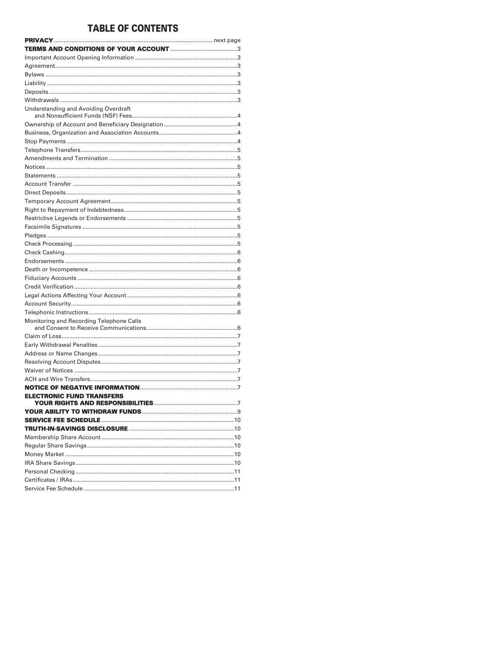# **TABLE OF CONTENTS**

| Understanding and Avoiding Overdraft     |  |
|------------------------------------------|--|
|                                          |  |
|                                          |  |
|                                          |  |
|                                          |  |
|                                          |  |
|                                          |  |
|                                          |  |
|                                          |  |
|                                          |  |
|                                          |  |
|                                          |  |
|                                          |  |
|                                          |  |
|                                          |  |
|                                          |  |
|                                          |  |
|                                          |  |
|                                          |  |
|                                          |  |
|                                          |  |
|                                          |  |
|                                          |  |
|                                          |  |
| Monitoring and Recording Telephone Calls |  |
|                                          |  |
|                                          |  |
|                                          |  |
|                                          |  |
|                                          |  |
|                                          |  |
|                                          |  |
| <b>ELECTRONIC FUND TRANSFERS</b>         |  |
|                                          |  |
|                                          |  |
|                                          |  |
|                                          |  |
|                                          |  |
|                                          |  |
|                                          |  |
|                                          |  |
|                                          |  |
|                                          |  |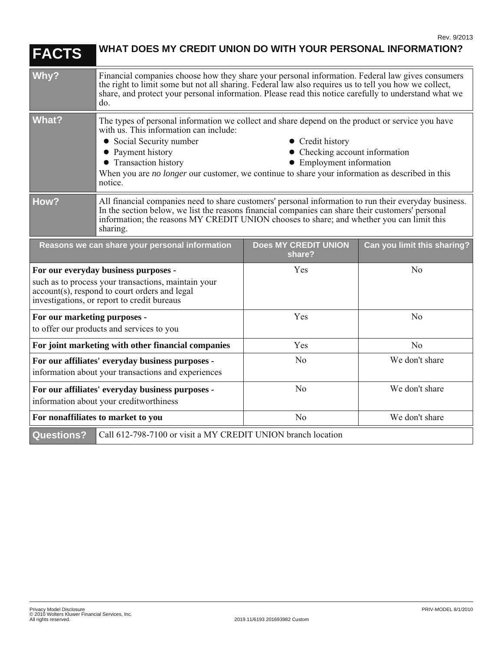| <b>FACTS</b>                                                                                                                                                                                | WHAT DOES MY CREDIT UNION DO WITH YOUR PERSONAL INFORMATION?                                                                                                                                                                                                                                                                                                                                                         |                                       |                             |
|---------------------------------------------------------------------------------------------------------------------------------------------------------------------------------------------|----------------------------------------------------------------------------------------------------------------------------------------------------------------------------------------------------------------------------------------------------------------------------------------------------------------------------------------------------------------------------------------------------------------------|---------------------------------------|-----------------------------|
| Why?                                                                                                                                                                                        | Financial companies choose how they share your personal information. Federal law gives consumers<br>the right to limit some but not all sharing. Federal law also requires us to tell you how we collect,<br>share, and protect your personal information. Please read this notice carefully to understand what we<br>do.                                                                                            |                                       |                             |
| <b>What?</b>                                                                                                                                                                                | The types of personal information we collect and share depend on the product or service you have<br>with us. This information can include:<br>• Social Security number<br>• Credit history<br>• Payment history<br>• Checking account information<br>• Transaction history<br>• Employment information<br>When you are no longer our customer, we continue to share your information as described in this<br>notice. |                                       |                             |
| How?                                                                                                                                                                                        | All financial companies need to share customers' personal information to run their everyday business.<br>In the section below, we list the reasons financial companies can share their customers' personal<br>information; the reasons MY CREDIT UNION chooses to share; and whether you can limit this<br>sharing.                                                                                                  |                                       |                             |
| Reasons we can share your personal information                                                                                                                                              |                                                                                                                                                                                                                                                                                                                                                                                                                      | <b>Does MY CREDIT UNION</b><br>share? | Can you limit this sharing? |
| For our everyday business purposes -<br>such as to process your transactions, maintain your<br>account(s), respond to court orders and legal<br>investigations, or report to credit bureaus |                                                                                                                                                                                                                                                                                                                                                                                                                      | Yes                                   | N <sub>o</sub>              |
| For our marketing purposes -<br>to offer our products and services to you                                                                                                                   |                                                                                                                                                                                                                                                                                                                                                                                                                      | Yes                                   | No                          |
| For joint marketing with other financial companies                                                                                                                                          |                                                                                                                                                                                                                                                                                                                                                                                                                      | Yes                                   | N <sub>o</sub>              |
| For our affiliates' everyday business purposes -<br>information about your transactions and experiences                                                                                     |                                                                                                                                                                                                                                                                                                                                                                                                                      | No                                    | We don't share              |
| For our affiliates' everyday business purposes -<br>information about your creditworthiness                                                                                                 |                                                                                                                                                                                                                                                                                                                                                                                                                      | N <sub>o</sub>                        | We don't share              |
| For nonaffiliates to market to you                                                                                                                                                          |                                                                                                                                                                                                                                                                                                                                                                                                                      | N <sub>o</sub>                        | We don't share              |
| <b>Questions?</b><br>Call 612-798-7100 or visit a MY CREDIT UNION branch location                                                                                                           |                                                                                                                                                                                                                                                                                                                                                                                                                      |                                       |                             |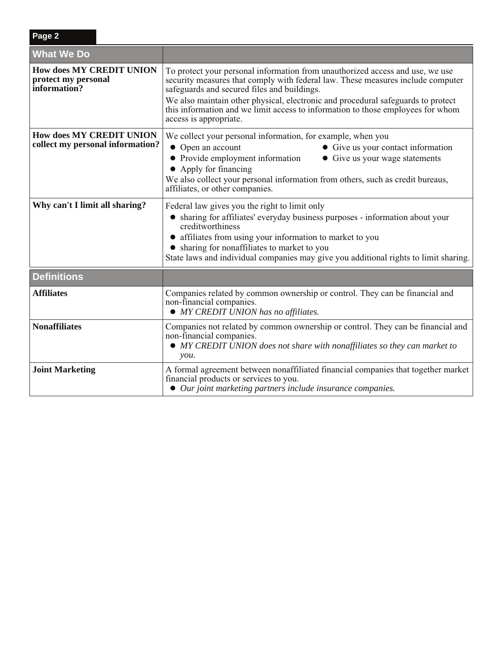| <b>What We Do</b>                                                      |                                                                                                                                                                                                                                                                                                                                                                                                                  |
|------------------------------------------------------------------------|------------------------------------------------------------------------------------------------------------------------------------------------------------------------------------------------------------------------------------------------------------------------------------------------------------------------------------------------------------------------------------------------------------------|
| <b>How does MY CREDIT UNION</b><br>protect my personal<br>information? | To protect your personal information from unauthorized access and use, we use<br>security measures that comply with federal law. These measures include computer<br>safeguards and secured files and buildings.<br>We also maintain other physical, electronic and procedural safeguards to protect<br>this information and we limit access to information to those employees for whom<br>access is appropriate. |
| <b>How does MY CREDIT UNION</b><br>collect my personal information?    | We collect your personal information, for example, when you<br>Open an account<br>• Give us your contact information<br>• Provide employment information<br>• Give us your wage statements<br>• Apply for financing<br>We also collect your personal information from others, such as credit bureaus,<br>affiliates, or other companies.                                                                         |
| Why can't I limit all sharing?                                         | Federal law gives you the right to limit only<br>sharing for affiliates' everyday business purposes - information about your<br>creditworthiness<br>• affiliates from using your information to market to you<br>• sharing for nonaffiliates to market to you<br>State laws and individual companies may give you additional rights to limit sharing.                                                            |
| <b>Definitions</b>                                                     |                                                                                                                                                                                                                                                                                                                                                                                                                  |
| <b>Affiliates</b>                                                      | Companies related by common ownership or control. They can be financial and<br>non-financial companies.<br>• MY CREDIT UNION has no affiliates.                                                                                                                                                                                                                                                                  |
| <b>Nonaffiliates</b>                                                   | Companies not related by common ownership or control. They can be financial and<br>non-financial companies.<br>• MY CREDIT UNION does not share with nonaffiliates so they can market to<br>you.                                                                                                                                                                                                                 |
| <b>Joint Marketing</b>                                                 | A formal agreement between nonaffiliated financial companies that together market<br>financial products or services to you.<br>• Our joint marketing partners include insurance companies.                                                                                                                                                                                                                       |

**Page 2**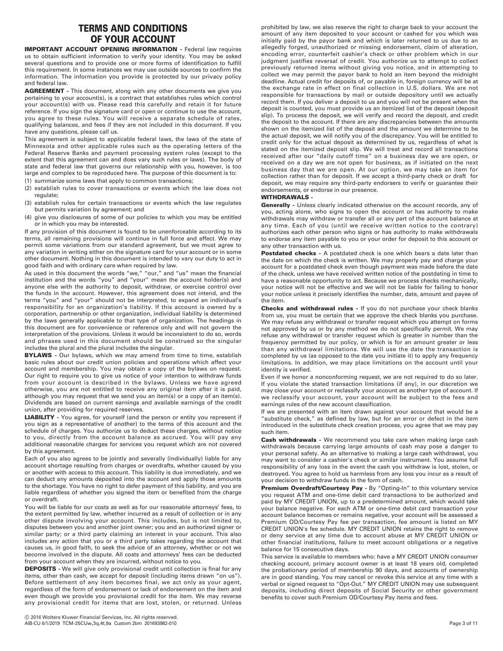# **TERMS AND CONDITIONS OF YOUR ACCOUNT**

**IMPORTANT ACCOUNT OPENING INFORMATION - Federal law requires** us to obtain sufficient information to verify your identity. You may be asked several questions and to provide one or more forms of identification to fulfill this requirement. In some instances we may use outside sources to confirm the information. The information you provide is protected by our privacy policy and federal law.

**AGREEMENT -** This document, along with any other documents we give you pertaining to your account(s), is a contract that establishes rules which control your account(s) with us. Please read this carefully and retain it for future reference. If you sign the signature card or open or continue to use the account, you agree to these rules. You will receive a separate schedule of rates, qualifying balances, and fees if they are not included in this document. If you have any questions, please call us.

This agreement is subject to applicable federal laws, the laws of the state of Minnesota and other applicable rules such as the operating letters of the Federal Reserve Banks and payment processing system rules (except to the extent that this agreement can and does vary such rules or laws). The body of state and federal law that governs our relationship with you, however, is too large and complex to be reproduced here. The purpose of this document is to:

- (1) summarize some laws that apply to common transactions;
- (2) establish rules to cover transactions or events which the law does not regulate;
- (3) establish rules for certain transactions or events which the law regulates but permits variation by agreement; and
- (4) give you disclosures of some of our policies to which you may be entitled or in which you may be interested.

If any provision of this document is found to be unenforceable according to its terms, all remaining provisions will continue in full force and effect. We may permit some variations from our standard agreement, but we must agree to any variation in writing either on the signature card for your account or in some other document. Nothing in this document is intended to vary our duty to act in good faith and with ordinary care when required by law.

As used in this document the words "we," "our," and "us" mean the financial institution and the words "you" and "your" mean the account holder(s) and anyone else with the authority to deposit, withdraw, or exercise control over the funds in the account. However, this agreement does not intend, and the terms "you" and "your" should not be interpreted, to expand an individual's responsibility for an organization's liability. If this account is owned by a corporation, partnership or other organization, individual liability is determined by the laws generally applicable to that type of organization. The headings in this document are for convenience or reference only and will not govern the interpretation of the provisions. Unless it would be inconsistent to do so, words and phrases used in this document should be construed so the singular includes the plural and the plural includes the singular.

**BYLAWS** - Our bylaws, which we may amend from time to time, establish basic rules about our credit union policies and operations which affect your account and membership. You may obtain a copy of the bylaws on request. Our right to require you to give us notice of your intention to withdraw funds from your account is described in the bylaws. Unless we have agreed otherwise, you are not entitled to receive any original item after it is paid, although you may request that we send you an item(s) or a copy of an item(s). Dividends are based on current earnings and available earnings of the credit union, after providing for required reserves.

**LIABILITY -** You agree, for yourself (and the person or entity you represent if you sign as a representative of another) to the terms of this account and the schedule of charges. You authorize us to deduct these charges, without notice to you, directly from the account balance as accrued. You will pay any additional reasonable charges for services you request which are not covered by this agreement.

Each of you also agrees to be jointly and severally (individually) liable for any account shortage resulting from charges or overdrafts, whether caused by you or another with access to this account. This liability is due immediately, and we can deduct any amounts deposited into the account and apply those amounts to the shortage. You have no right to defer payment of this liability, and you are liable regardless of whether you signed the item or benefited from the charge or overdraft.

You will be liable for our costs as well as for our reasonable attorneys' fees, to the extent permitted by law, whether incurred as a result of collection or in any other dispute involving your account. This includes, but is not limited to, disputes between you and another joint owner; you and an authorized signer or similar party; or a third party claiming an interest in your account. This also includes any action that you or a third party takes regarding the account that causes us, in good faith, to seek the advice of an attorney, whether or not we become involved in the dispute. All costs and attorneys' fees can be deducted from your account when they are incurred, without notice to you.

**DEPOSITS** - We will give only provisional credit until collection is final for any items, other than cash, we accept for deposit (including items drawn "on us"). Before settlement of any item becomes final, we act only as your agent, regardless of the form of endorsement or lack of endorsement on the item and even though we provide you provisional credit for the item. We may reverse any provisional credit for items that are lost, stolen, or returned. Unless

prohibited by law, we also reserve the right to charge back to your account the amount of any item deposited to your account or cashed for you which was initially paid by the payor bank and which is later returned to us due to an allegedly forged, unauthorized or missing endorsement, claim of alteration, encoding error, counterfeit cashier's check or other problem which in our judgment justifies reversal of credit. You authorize us to attempt to collect previously returned items without giving you notice, and in attempting to collect we may permit the payor bank to hold an item beyond the midnight deadline. Actual credit for deposits of, or payable in, foreign currency will be at the exchange rate in effect on final collection in U.S. dollars. We are not responsible for transactions by mail or outside depository until we actually record them. If you deliver a deposit to us and you will not be present when the deposit is counted, you must provide us an itemized list of the deposit (deposit slip). To process the deposit, we will verify and record the deposit, and credit the deposit to the account. If there are any discrepancies between the amounts shown on the itemized list of the deposit and the amount we determine to be the actual deposit, we will notify you of the discrepancy. You will be entitled to credit only for the actual deposit as determined by us, regardless of what is stated on the itemized deposit slip. We will treat and record all transactions received after our "daily cutoff time" on a business day we are open, or received on a day we are not open for business, as if initiated on the next business day that we are open. At our option, we may take an item for collection rather than for deposit. If we accept a third-party check or draft for deposit, we may require any third-party endorsers to verify or guarantee their endorsements, or endorse in our presence.

# **WITHDRAWALS -**

**Generally -** Unless clearly indicated otherwise on the account records, any of you, acting alone, who signs to open the account or has authority to make withdrawals may withdraw or transfer all or any part of the account balance at any time. Each of you (until we receive written notice to the contrary) authorizes each other person who signs or has authority to make withdrawals to endorse any item payable to you or your order for deposit to this account or any other transaction with us.

Postdated checks - A postdated check is one which bears a date later than the date on which the check is written. We may properly pay and charge your account for a postdated check even though payment was made before the date of the check, unless we have received written notice of the postdating in time to have a reasonable opportunity to act. Because we process checks mechanically, your notice will not be effective and we will not be liable for failing to honor your notice unless it precisely identifies the number, date, amount and payee of the item.

**Checks and withdrawal rules -** If you do not purchase your check blanks from us, you must be certain that we approve the check blanks you purchase. We may refuse any withdrawal or transfer request which you attempt on forms not approved by us or by any method we do not specifically permit. We may refuse any withdrawal or transfer request which is greater in number than the frequency permitted by our policy, or which is for an amount greater or less than any withdrawal limitations. We will use the date the transaction is completed by us (as opposed to the date you initiate it) to apply any frequency limitations. In addition, we may place limitations on the account until your identity is verified.

Even if we honor a nonconforming request, we are not required to do so later. If you violate the stated transaction limitations (if any), in our discretion we may close your account or reclassify your account as another type of account. If we reclassify your account, your account will be subject to the fees and earnings rules of the new account classification.

If we are presented with an item drawn against your account that would be a "substitute check," as defined by law, but for an error or defect in the item introduced in the substitute check creation process, you agree that we may pay such item.

**Cash withdrawals -** We recommend you take care when making large cash withdrawals because carrying large amounts of cash may pose a danger to your personal safety. As an alternative to making a large cash withdrawal, you may want to consider a cashier's check or similar instrument. You assume full responsibility of any loss in the event the cash you withdraw is lost, stolen, or destroyed. You agree to hold us harmless from any loss you incur as a result of your decision to withdraw funds in the form of cash.

Premium Overdraft/Courtesy Pay - By "Opting-In" to this voluntary service you request ATM and one-time debit card transactions to be authorized and paid by MY CREDIT UNION, up to a predetermined amount, which would take your balance negative. For each ATM or one-time debit card transaction your account balance becomes or remains negative, your account will be assessed a Premium OD/Courtesy Pay fee per transaction, fee amount is listed on MY CREDIT UNION's fee schedule. MY CREDIT UNION retains the right to remove or deny service at any time due to account abuse at MY CREDIT UNION or other financial institutions, failure to meet account obligations or a negative balance for 15 consecutive days.

This service is available to members who: have a MY CREDIT UNION consumer checking account, primary account owner is at least 18 years old, completed the probationary period of membership 90 days, and accounts of ownership are in good standing. You may cancel or revoke this service at any time with a verbal or signed request to "Opt-Out." MY CREDIT UNION may use subsequent deposits, including direct deposits of Social Security or other government benefits to cover such Premium OD/Courtesy Pay items and fees.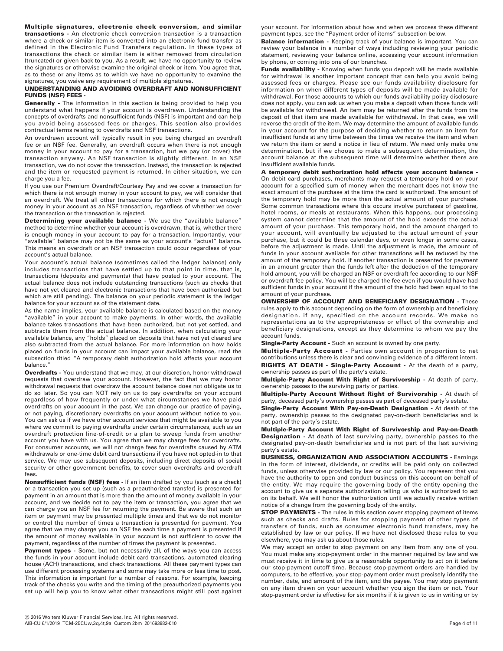**Multiple signatures, electronic check conversion, and similar transactions -** An electronic check conversion transaction is a transaction where a check or similar item is converted into an electronic fund transfer as defined in the Electronic Fund Transfers regulation. In these types of transactions the check or similar item is either removed from circulation (truncated) or given back to you. As a result, we have no opportunity to review the signatures or otherwise examine the original check or item. You agree that, as to these or any items as to which we have no opportunity to examine the signatures, you waive any requirement of multiple signatures.

# **UNDERSTANDING AND AVOIDING OVERDRAFT AND NONSUFFICIENT FUNDS (NSF) FEES -**

**Generally -** The information in this section is being provided to help you understand what happens if your account is overdrawn. Understanding the concepts of overdrafts and nonsufficient funds (NSF) is important and can help you avoid being assessed fees or charges. This section also provides contractual terms relating to overdrafts and NSF transactions.

An overdrawn account will typically result in you being charged an overdraft fee or an NSF fee. Generally, an overdraft occurs when there is not enough money in your account to pay for a transaction, but we pay (or cover) the transaction anyway. An NSF transaction is slightly different. In an NSF transaction, we do not cover the transaction. Instead, the transaction is rejected and the item or requested payment is returned. In either situation, we can charge you a fee.

If you use our Premium Overdraft/Courtesy Pay and we cover a transaction for which there is not enough money in your account to pay, we will consider that an overdraft. We treat all other transactions for which there is not enough money in your account as an NSF transaction, regardless of whether we cover the transaction or the transaction is rejected.

**Determining your available balance -** We use the "available balance" method to determine whether your account is overdrawn, that is, whether there is enough money in your account to pay for a transaction. Importantly, your "available" balance may not be the same as your account's "actual" balance. This means an overdraft or an NSF transaction could occur regardless of your account's actual balance.

Your account's actual balance (sometimes called the ledger balance) only includes transactions that have settled up to that point in time, that is, transactions (deposits and payments) that have posted to your account. The actual balance does not include outstanding transactions (such as checks that have not yet cleared and electronic transactions that have been authorized but which are still pending). The balance on your periodic statement is the ledger balance for your account as of the statement date.

As the name implies, your available balance is calculated based on the money "available" in your account to make payments. In other words, the available balance takes transactions that have been authorized, but not yet settled, and subtracts them from the actual balance. In addition, when calculating your available balance, any "holds" placed on deposits that have not yet cleared are also subtracted from the actual balance. For more information on how holds placed on funds in your account can impact your available balance, read the subsection titled "A temporary debit authorization hold affects your account balance."

**Overdrafts -** You understand that we may, at our discretion, honor withdrawal requests that overdraw your account. However, the fact that we may honor withdrawal requests that overdraw the account balance does not obligate us to do so later. So you can NOT rely on us to pay overdrafts on your account regardless of how frequently or under what circumstances we have paid overdrafts on your account in the past. We can change our practice of paying, or not paying, discretionary overdrafts on your account without notice to you. You can ask us if we have other account services that might be available to you where we commit to paying overdrafts under certain circumstances, such as an overdraft protection line-of-credit or a plan to sweep funds from another account you have with us. You agree that we may charge fees for overdrafts. For consumer accounts, we will not charge fees for overdrafts caused by ATM withdrawals or one-time debit card transactions if you have not opted-in to that service. We may use subsequent deposits, including direct deposits of social security or other government benefits, to cover such overdrafts and overdraft fees.

**Nonsufficient funds (NSF) fees -** If an item drafted by you (such as a check) or a transaction you set up (such as a preauthorized transfer) is presented for payment in an amount that is more than the amount of money available in your account, and we decide not to pay the item or transaction, you agree that we can charge you an NSF fee for returning the payment. Be aware that such an item or payment may be presented multiple times and that we do not monitor or control the number of times a transaction is presented for payment. You agree that we may charge you an NSF fee each time a payment is presented if the amount of money available in your account is not sufficient to cover the payment, regardless of the number of times the payment is presented.

Payment types - Some, but not necessarily all, of the ways you can access the funds in your account include debit card transactions, automated clearing house (ACH) transactions, and check transactions. All these payment types can use different processing systems and some may take more or less time to post. This information is important for a number of reasons. For example, keeping track of the checks you write and the timing of the preauthorized payments you set up will help you to know what other transactions might still post against your account. For information about how and when we process these different payment types, see the "Payment order of items" subsection below.

**Balance information -** Keeping track of your balance is important. You can review your balance in a number of ways including reviewing your periodic statement, reviewing your balance online, accessing your account information by phone, or coming into one of our branches.

**Funds availability -** Knowing when funds you deposit will be made available for withdrawal is another important concept that can help you avoid being assessed fees or charges. Please see our funds availability disclosure for information on when different types of deposits will be made available for withdrawal. For those accounts to which our funds availability policy disclosure does not apply, you can ask us when you make a deposit when those funds will be available for withdrawal. An item may be returned after the funds from the deposit of that item are made available for withdrawal. In that case, we will reverse the credit of the item. We may determine the amount of available funds in your account for the purpose of deciding whether to return an item for insufficient funds at any time between the times we receive the item and when we return the item or send a notice in lieu of return. We need only make one determination, but if we choose to make a subsequent determination, the account balance at the subsequent time will determine whether there are insufficient available funds.

**A temporary debit authorization hold affects your account balance -**  On debit card purchases, merchants may request a temporary hold on your account for a specified sum of money when the merchant does not know the exact amount of the purchase at the time the card is authorized. The amount of the temporary hold may be more than the actual amount of your purchase. Some common transactions where this occurs involve purchases of gasoline, hotel rooms, or meals at restaurants. When this happens, our processing system cannot determine that the amount of the hold exceeds the actual amount of your purchase. This temporary hold, and the amount charged to your account, will eventually be adjusted to the actual amount of your purchase, but it could be three calendar days, or even longer in some cases, before the adjustment is made. Until the adjustment is made, the amount of funds in your account available for other transactions will be reduced by the amount of the temporary hold. If another transaction is presented for payment in an amount greater than the funds left after the deduction of the temporary hold amount, you will be charged an NSF or overdraft fee according to our NSF or overdraft fee policy. You will be charged the fee even if you would have had sufficient funds in your account if the amount of the hold had been equal to the amount of your purchase.

**OWNERSHIP OF ACCOUNT AND BENEFICIARY DESIGNATION -** These rules apply to this account depending on the form of ownership and beneficiary designation, if any, specified on the account records. We make no representations as to the appropriateness or effect of the ownership and beneficiary designations, except as they determine to whom we pay the account funds.

**Single-Party Account -** Such an account is owned by one party.

**Multiple-Party Account -** Parties own account in proportion to net contributions unless there is clear and convincing evidence of a different intent. **RIGHTS AT DEATH - Single-Party Account -** At the death of a party,

ownership passes as part of the party's estate. **Multiple-Party Account With Right of Survivorship -** At death of party, ownership passes to the surviving party or parties.

**Multiple-Party Account Without Right of Survivorship -** At death of party, deceased party's ownership passes as part of deceased party's estate.

**Single-Party Account With Pay-on-Death Designation -** At death of the party, ownership passes to the designated pay-on-death beneficiaries and is not part of the party's estate.

**Multiple-Party Account With Right of Survivorship and Pay-on-Death Designation -** At death of last surviving party, ownership passes to the designated pay-on-death beneficiaries and is not part of the last surviving party's estate.

**BUSINESS, ORGANIZATION AND ASSOCIATION ACCOUNTS -** Earnings in the form of interest, dividends, or credits will be paid only on collected funds, unless otherwise provided by law or our policy. You represent that you have the authority to open and conduct business on this account on behalf of the entity. We may require the governing body of the entity opening the account to give us a separate authorization telling us who is authorized to act on its behalf. We will honor the authorization until we actually receive written notice of a change from the governing body of the entity.

**STOP PAYMENTS -** The rules in this section cover stopping payment of items such as checks and drafts. Rules for stopping payment of other types of transfers of funds, such as consumer electronic fund transfers, may be established by law or our policy. If we have not disclosed these rules to you elsewhere, you may ask us about those rules.

We may accept an order to stop payment on any item from any one of you. You must make any stop-payment order in the manner required by law and we must receive it in time to give us a reasonable opportunity to act on it before our stop-payment cutoff time. Because stop-payment orders are handled by computers, to be effective, your stop-payment order must precisely identify the number, date, and amount of the item, and the payee. You may stop payment on any item drawn on your account whether you sign the item or not. Your stop-payment order is effective for six months if it is given to us in writing or by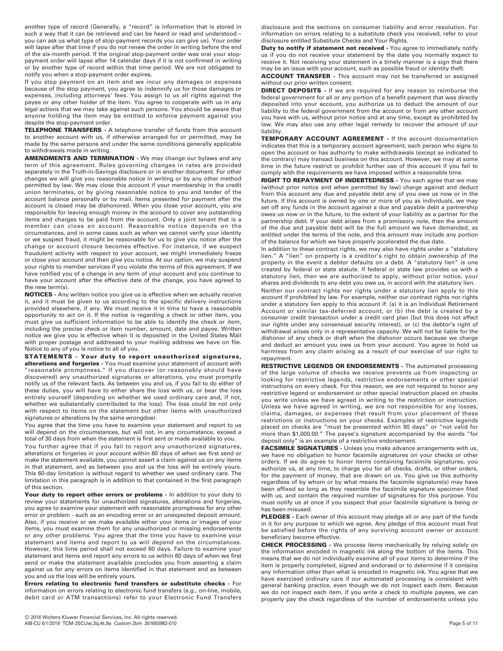another type of record (Generally, a "record" is information that is stored in such a way that it can be retrieved and can be heard or read and understood – you can ask us what type of stop-payment records you can give us). Your order will lapse after that time if you do not renew the order in writing before the end of the six-month period. If the original stop-payment order was oral your stoppayment order will lapse after 14 calendar days if it is not confirmed in writing or by another type of record within that time period. We are not obligated to notify you when a stop-payment order expires.

If you stop payment on an item and we incur any damages or expenses because of the stop payment, you agree to indemnify us for those damages or expenses, including attorneys' fees. You assign to us all rights against the payee or any other holder of the item. You agree to cooperate with us in any legal actions that we may take against such persons. You should be aware that anyone holding the item may be entitled to enforce payment against you despite the stop-payment order.

**TELEPHONE TRANSFERS -** A telephone transfer of funds from this account to another account with us, if otherwise arranged for or permitted, may be made by the same persons and under the same conditions generally applicable to withdrawals made in writing.

**AMENDMENTS AND TERMINATION -** We may change our bylaws and any term of this agreement. Rules governing changes in rates are provided separately in the Truth-in-Savings disclosure or in another document. For other changes we will give you reasonable notice in writing or by any other method permitted by law. We may close this account if your membership in the credit union terminates, or by giving reasonable notice to you and tender of the account balance personally or by mail. Items presented for payment after the account is closed may be dishonored. When you close your account, you are responsible for leaving enough money in the account to cover any outstanding items and charges to be paid from the account. Only a joint tenant that is a member can close an account. Reasonable notice depends on the circumstances, and in some cases such as when we cannot verify your identity or we suspect fraud, it might be reasonable for us to give you notice after the change or account closure becomes effective. For instance, if we suspect fraudulent activity with respect to your account, we might immediately freeze or close your account and then give you notice. At our option, we may suspend your rights to member services if you violate the terms of this agreement. If we have notified you of a change in any term of your account and you continue to have your account after the effective date of the change, you have agreed to the new term(s).

**NOTICES -** Any written notice you give us is effective when we actually receive it, and it must be given to us according to the specific delivery instructions provided elsewhere, if any. We must receive it in time to have a reasonable opportunity to act on it. If the notice is regarding a check or other item, you must give us sufficient information to be able to identify the check or item, including the precise check or item number, amount, date and payee. Written notice we give you is effective when it is deposited in the United States Mail with proper postage and addressed to your mailing address we have on file. Notice to any of you is notice to all of you.

**STATEMENTS - Your duty to report unauthorized signatures, alterations and forgeries -** You must examine your statement of account with "reasonable promptness." If you discover (or reasonably should have discovered) any unauthorized signatures or alterations, you must promptly notify us of the relevant facts. As between you and us, if you fail to do either of these duties, you will have to either share the loss with us, or bear the loss entirely yourself (depending on whether we used ordinary care and, if not, whether we substantially contributed to the loss). The loss could be not only with respect to items on the statement but other items with unauthorized signatures or alterations by the same wrongdoer.

You agree that the time you have to examine your statement and report to us will depend on the circumstances, but will not, in any circumstance, exceed a total of 30 days from when the statement is first sent or made available to you.

You further agree that if you fail to report any unauthorized signatures, alterations or forgeries in your account within 60 days of when we first send or make the statement available, you cannot assert a claim against us on any items in that statement, and as between you and us the loss will be entirely yours. This 60-day limitation is without regard to whether we used ordinary care. The limitation in this paragraph is in addition to that contained in the first paragraph of this section.

Your duty to report other errors or problems - In addition to your duty to review your statements for unauthorized signatures, alterations and forgeries, you agree to examine your statement with reasonable promptness for any other error or problem - such as an encoding error or an unexpected deposit amount. Also, if you receive or we make available either your items or images of your items, you must examine them for any unauthorized or missing endorsements or any other problems. You agree that the time you have to examine your statement and items and report to us will depend on the circumstances. However, this time period shall not exceed 60 days. Failure to examine your statement and items and report any errors to us within 60 days of when we first send or make the statement available precludes you from asserting a claim against us for any errors on items identified in that statement and as between you and us the loss will be entirely yours.

**Errors relating to electronic fund transfers or substitute checks -** For information on errors relating to electronic fund transfers (e.g., on-line, mobile, debit card or ATM transactions) refer to your Electronic Fund Transfers

disclosure and the sections on consumer liability and error resolution. For information on errors relating to a substitute check you received, refer to your disclosure entitled Substitute Checks and Your Rights.

**Duty to notify if statement not received -** You agree to immediately notify us if you do not receive your statement by the date you normally expect to receive it. Not receiving your statement in a timely manner is a sign that there may be an issue with your account, such as possible fraud or identity theft.

**ACCOUNT TRANSFER -** This account may not be transferred or assigned without our prior written consent.

**DIRECT DEPOSITS -** If we are required for any reason to reimburse the federal government for all or any portion of a benefit payment that was directly deposited into your account, you authorize us to deduct the amount of our liability to the federal government from the account or from any other account you have with us, without prior notice and at any time, except as prohibited by law. We may also use any other legal remedy to recover the amount of our liability.

**TEMPORARY ACCOUNT AGREEMENT -** If the account documentation indicates that this is a temporary account agreement, each person who signs to open the account or has authority to make withdrawals (except as indicated to the contrary) may transact business on this account. However, we may at some time in the future restrict or prohibit further use of this account if you fail to comply with the requirements we have imposed within a reasonable time.

**RIGHT TO REPAYMENT OF INDEBTEDNESS -** You each agree that we may (without prior notice and when permitted by law) charge against and deduct from this account any due and payable debt any of you owe us now or in the future. If this account is owned by one or more of you as individuals, we may set off any funds in the account against a due and payable debt a partnership owes us now or in the future, to the extent of your liability as a partner for the partnership debt. If your debt arises from a promissory note, then the amount of the due and payable debt will be the full amount we have demanded, as entitled under the terms of the note, and this amount may include any portion of the balance for which we have properly accelerated the due date.

In addition to these contract rights, we may also have rights under a "statutory lien." A "lien" on property is a creditor's right to obtain ownership of the property in the event a debtor defaults on a debt. A "statutory lien" is one created by federal or state statute. If federal or state law provides us with a statutory lien, then we are authorized to apply, without prior notice, your shares and dividends to any debt you owe us, in accord with the statutory lien.

Neither our contract rights nor rights under a statutory lien apply to this account if prohibited by law. For example, neither our contract rights nor rights under a statutory lien apply to this account if: (a) it is an Individual Retirement Account or similar tax-deferred account, or (b) the debt is created by a consumer credit transaction under a credit card plan (but this does not affect our rights under any consensual security interest), or (c) the debtor's right of withdrawal arises only in a representative capacity. We will not be liable for the dishonor of any check or draft when the dishonor occurs because we charge and deduct an amount you owe us from your account. You agree to hold us harmless from any claim arising as a result of our exercise of our right to repayment.

**RESTRICTIVE LEGENDS OR ENDORSEMENTS -** The automated processing of the large volume of checks we receive prevents us from inspecting or looking for restrictive legends, restrictive endorsements or other special instructions on every check. For this reason, we are not required to honor any restrictive legend or endorsement or other special instruction placed on checks you write unless we have agreed in writing to the restriction or instruction. Unless we have agreed in writing, we are not responsible for any losses, claims, damages, or expenses that result from your placement of these restrictions or instructions on your checks. Examples of restrictive legends placed on checks are "must be presented within 90 days" or "not valid for more than \$1,000.00." The payee's signature accompanied by the words "for deposit only" is an example of a restrictive endorsement.

**FACSIMILE SIGNATURES -** Unless you make advance arrangements with us, we have no obligation to honor facsimile signatures on your checks or other orders. If we do agree to honor items containing facsimile signatures, you authorize us, at any time, to charge you for all checks, drafts, or other orders, for the payment of money, that are drawn on us. You give us this authority regardless of by whom or by what means the facsimile signature(s) may have been affixed so long as they resemble the facsimile signature specimen filed with us, and contain the required number of signatures for this purpose. You must notify us at once if you suspect that your facsimile signature is being or has been misused.

**PLEDGES -** Each owner of this account may pledge all or any part of the funds in it for any purpose to which we agree. Any pledge of this account must first be satisfied before the rights of any surviving account owner or account beneficiary become effective.

**CHECK PROCESSING -** We process items mechanically by relying solely on the information encoded in magnetic ink along the bottom of the items. This means that we do not individually examine all of your items to determine if the item is properly completed, signed and endorsed or to determine if it contains any information other than what is encoded in magnetic ink. You agree that we have exercised ordinary care if our automated processing is consistent with general banking practice, even though we do not inspect each item. Because we do not inspect each item, if you write a check to multiple payees, we can properly pay the check regardless of the number of endorsements unless you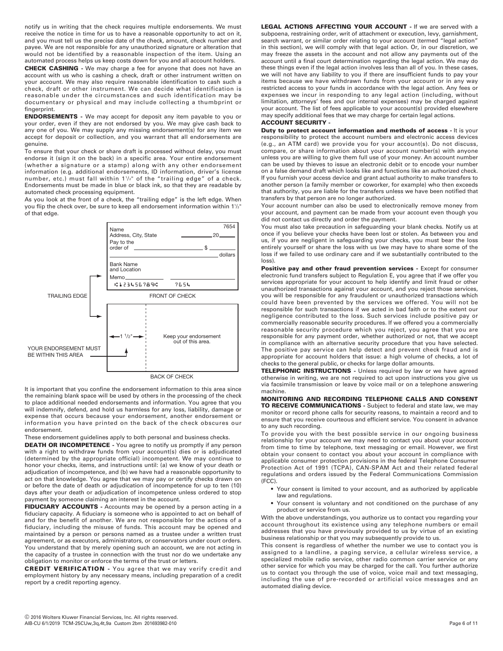notify us in writing that the check requires multiple endorsements. We must receive the notice in time for us to have a reasonable opportunity to act on it, and you must tell us the precise date of the check, amount, check number and payee. We are not responsible for any unauthorized signature or alteration that would not be identified by a reasonable inspection of the item. Using an automated process helps us keep costs down for you and all account holders.

**CHECK CASHING -** We may charge a fee for anyone that does not have an account with us who is cashing a check, draft or other instrument written on your account. We may also require reasonable identification to cash such a check, draft or other instrument. We can decide what identification is reasonable under the circumstances and such identification may be documentary or physical and may include collecting a thumbprint or fingerprint.

**ENDORSEMENTS -** We may accept for deposit any item payable to you or your order, even if they are not endorsed by you. We may give cash back to any one of you. We may supply any missing endorsement(s) for any item we accept for deposit or collection, and you warrant that all endorsements are genuine.

To ensure that your check or share draft is processed without delay, you must endorse it (sign it on the back) in a specific area. Your entire endorsement (whether a signature or a stamp) along with any other endorsement information (e.g. additional endorsements, ID information, driver's license number, etc.) must fall within 1½" of the "trailing edge" of a check. Endorsements must be made in blue or black ink, so that they are readable by automated check processing equipment.

As you look at the front of a check, the "trailing edge" is the left edge. When you flip the check over, be sure to keep all endorsement information within 11 /2" of that edge.



BACK OF CHECK

It is important that you confine the endorsement information to this area since the remaining blank space will be used by others in the processing of the check to place additional needed endorsements and information. You agree that you will indemnify, defend, and hold us harmless for any loss, liability, damage or expense that occurs because your endorsement, another endorsement or information you have printed on the back of the check obscures our endorsement.

These endorsement guidelines apply to both personal and business checks.

**DEATH OR INCOMPETENCE -** You agree to notify us promptly if any person with a right to withdraw funds from your account(s) dies or is adjudicated (determined by the appropriate official) incompetent. We may continue to honor your checks, items, and instructions until: (a) we know of your death or adjudication of incompetence, and (b) we have had a reasonable opportunity to act on that knowledge. You agree that we may pay or certify checks drawn on or before the date of death or adjudication of incompetence for up to ten (10) days after your death or adjudication of incompetence unless ordered to stop payment by someone claiming an interest in the account.

**FIDUCIARY ACCOUNTS -** Accounts may be opened by a person acting in a fiduciary capacity. A fiduciary is someone who is appointed to act on behalf of and for the benefit of another. We are not responsible for the actions of a fiduciary, including the misuse of funds. This account may be opened and maintained by a person or persons named as a trustee under a written trust agreement, or as executors, administrators, or conservators under court orders. You understand that by merely opening such an account, we are not acting in the capacity of a trustee in connection with the trust nor do we undertake any obligation to monitor or enforce the terms of the trust or letters.

**CREDIT VERIFICATION -** You agree that we may verify credit and employment history by any necessary means, including preparation of a credit report by a credit reporting agency.

**LEGAL ACTIONS AFFECTING YOUR ACCOUNT -** If we are served with a subpoena, restraining order, writ of attachment or execution, levy, garnishment, search warrant, or similar order relating to your account (termed "legal action" in this section), we will comply with that legal action. Or, in our discretion, we may freeze the assets in the account and not allow any payments out of the account until a final court determination regarding the legal action. We may do these things even if the legal action involves less than all of you. In these cases, we will not have any liability to you if there are insufficient funds to pay your items because we have withdrawn funds from your account or in any way restricted access to your funds in accordance with the legal action. Any fees or expenses we incur in responding to any legal action (including, without limitation, attorneys' fees and our internal expenses) may be charged against your account. The list of fees applicable to your account(s) provided elsewhere may specify additional fees that we may charge for certain legal actions. **ACCOUNT SECURITY -**

**Duty to protect account information and methods of access - It is your** responsibility to protect the account numbers and electronic access devices (e.g., an ATM card) we provide you for your account(s). Do not discuss, compare, or share information about your account number(s) with anyone unless you are willing to give them full use of your money. An account number can be used by thieves to issue an electronic debit or to encode your number on a false demand draft which looks like and functions like an authorized check. If you furnish your access device and grant actual authority to make transfers to another person (a family member or coworker, for example) who then exceeds that authority, you are liable for the transfers unless we have been notified that transfers by that person are no longer authorized.

Your account number can also be used to electronically remove money from your account, and payment can be made from your account even though you did not contact us directly and order the payment.

You must also take precaution in safeguarding your blank checks. Notify us at once if you believe your checks have been lost or stolen. As between you and us, if you are negligent in safeguarding your checks, you must bear the loss entirely yourself or share the loss with us (we may have to share some of the loss if we failed to use ordinary care and if we substantially contributed to the loss).

Positive pay and other fraud prevention services - Except for consumer electronic fund transfers subject to Regulation E, you agree that if we offer you services appropriate for your account to help identify and limit fraud or other unauthorized transactions against your account, and you reject those services, you will be responsible for any fraudulent or unauthorized transactions which could have been prevented by the services we offered. You will not be responsible for such transactions if we acted in bad faith or to the extent our negligence contributed to the loss. Such services include positive pay or commercially reasonable security procedures. If we offered you a commercially reasonable security procedure which you reject, you agree that you are responsible for any payment order, whether authorized or not, that we accept in compliance with an alternative security procedure that you have selected. The positive pay service can help detect and prevent check fraud and is appropriate for account holders that issue: a high volume of checks, a lot of checks to the general public, or checks for large dollar amounts.

**TELEPHONIC INSTRUCTIONS -** Unless required by law or we have agreed otherwise in writing, we are not required to act upon instructions you give us via facsimile transmission or leave by voice mail or on a telephone answering machine.

**MONITORING AND RECORDING TELEPHONE CALLS AND CONSENT TO RECEIVE COMMUNICATIONS -** Subject to federal and state law, we may monitor or record phone calls for security reasons, to maintain a record and to ensure that you receive courteous and efficient service. You consent in advance to any such recording.

To provide you with the best possible service in our ongoing business relationship for your account we may need to contact you about your account from time to time by telephone, text messaging or email. However, we first obtain your consent to contact you about your account in compliance with applicable consumer protection provisions in the federal Telephone Consumer Protection Act of 1991 (TCPA), CAN-SPAM Act and their related federal regulations and orders issued by the Federal Communications Commission (FCC).

- Your consent is limited to your account, and as authorized by applicable law and regulations.
- Your consent is voluntary and not conditioned on the purchase of any product or service from us.

With the above understandings, you authorize us to contact you regarding your account throughout its existence using any telephone numbers or email addresses that you have previously provided to us by virtue of an existing business relationship or that you may subsequently provide to us.

This consent is regardless of whether the number we use to contact you is assigned to a landline, a paging service, a cellular wireless service, a specialized mobile radio service, other radio common carrier service or any other service for which you may be charged for the call. You further authorize us to contact you through the use of voice, voice mail and text messaging, including the use of pre-recorded or artificial voice messages and an automated dialing device.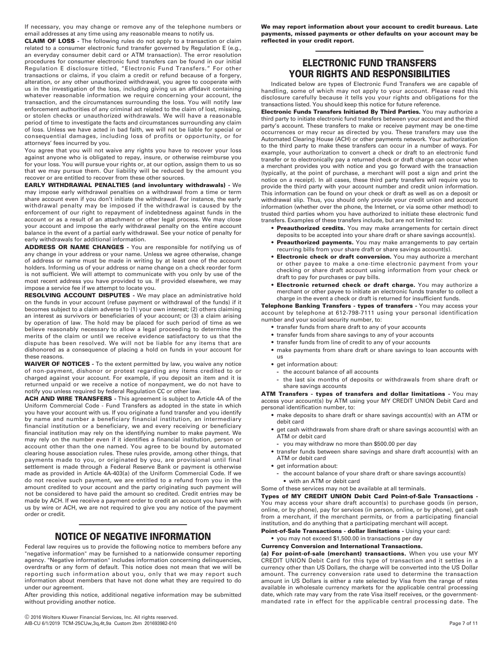If necessary, you may change or remove any of the telephone numbers or email addresses at any time using any reasonable means to notify us.

**CLAIM OF LOSS -** The following rules do not apply to a transaction or claim related to a consumer electronic fund transfer governed by Regulation E (e.g., an everyday consumer debit card or ATM transaction). The error resolution procedures for consumer electronic fund transfers can be found in our initial Regulation E disclosure titled, "Electronic Fund Transfers." For other transactions or claims, if you claim a credit or refund because of a forgery, alteration, or any other unauthorized withdrawal, you agree to cooperate with us in the investigation of the loss, including giving us an affidavit containing whatever reasonable information we require concerning your account, the transaction, and the circumstances surrounding the loss. You will notify law enforcement authorities of any criminal act related to the claim of lost, missing, or stolen checks or unauthorized withdrawals. We will have a reasonable period of time to investigate the facts and circumstances surrounding any claim of loss. Unless we have acted in bad faith, we will not be liable for special or consequential damages, including loss of profits or opportunity, or for attorneys' fees incurred by you.

You agree that you will not waive any rights you have to recover your loss against anyone who is obligated to repay, insure, or otherwise reimburse you for your loss. You will pursue your rights or, at our option, assign them to us so that we may pursue them. Our liability will be reduced by the amount you recover or are entitled to recover from these other sources.

**EARLY WITHDRAWAL PENALTIES (and involuntary withdrawals) -** We may impose early withdrawal penalties on a withdrawal from a time or term share account even if you don't initiate the withdrawal. For instance, the early withdrawal penalty may be imposed if the withdrawal is caused by the enforcement of our right to repayment of indebtedness against funds in the account or as a result of an attachment or other legal process. We may close your account and impose the early withdrawal penalty on the entire account balance in the event of a partial early withdrawal. See your notice of penalty for early withdrawals for additional information.

**ADDRESS OR NAME CHANGES -** You are responsible for notifying us of any change in your address or your name. Unless we agree otherwise, change of address or name must be made in writing by at least one of the account holders. Informing us of your address or name change on a check reorder form is not sufficient. We will attempt to communicate with you only by use of the most recent address you have provided to us. If provided elsewhere, we may impose a service fee if we attempt to locate you.

**RESOLVING ACCOUNT DISPUTES -** We may place an administrative hold on the funds in your account (refuse payment or withdrawal of the funds) if it becomes subject to a claim adverse to (1) your own interest; (2) others claiming an interest as survivors or beneficiaries of your account; or (3) a claim arising by operation of law. The hold may be placed for such period of time as we believe reasonably necessary to allow a legal proceeding to determine the merits of the claim or until we receive evidence satisfactory to us that the dispute has been resolved. We will not be liable for any items that are dishonored as a consequence of placing a hold on funds in your account for these reasons.

**WAIVER OF NOTICES -** To the extent permitted by law, you waive any notice of non-payment, dishonor or protest regarding any items credited to or charged against your account. For example, if you deposit an item and it is returned unpaid or we receive a notice of nonpayment, we do not have to notify you unless required by federal Regulation CC or other law.

**ACH AND WIRE TRANSFERS -** This agreement is subject to Article 4A of the Uniform Commercial Code - Fund Transfers as adopted in the state in which you have your account with us. If you originate a fund transfer and you identify by name and number a beneficiary financial institution, an intermediary financial institution or a beneficiary, we and every receiving or beneficiary financial institution may rely on the identifying number to make payment. We may rely on the number even if it identifies a financial institution, person or account other than the one named. You agree to be bound by automated clearing house association rules. These rules provide, among other things, that payments made to you, or originated by you, are provisional until final settlement is made through a Federal Reserve Bank or payment is otherwise made as provided in Article 4A-403(a) of the Uniform Commercial Code. If we do not receive such payment, we are entitled to a refund from you in the amount credited to your account and the party originating such payment will not be considered to have paid the amount so credited. Credit entries may be made by ACH. If we receive a payment order to credit an account you have with us by wire or ACH, we are not required to give you any notice of the payment order or credit.

# ————————————— **NOTICE OF NEGATIVE INFORMATION**

Federal law requires us to provide the following notice to members before any "negative information" may be furnished to a nationwide consumer reporting agency. "Negative information" includes information concerning delinquencies, overdrafts or any form of default. This notice does not mean that we will be reporting such information about you, only that we may report such information about members that have not done what they are required to do under our agreement.

After providing this notice, additional negative information may be submitted without providing another notice.

**We may report information about your account to credit bureaus. Late payments, missed payments or other defaults on your account may be reflected in your credit report.**

# **ELECTRONIC FUND TRANSFERS YOUR RIGHTS AND RESPONSIBILITIES**

—————————————

Indicated below are types of Electronic Fund Transfers we are capable of handling, some of which may not apply to your account. Please read this disclosure carefully because it tells you your rights and obligations for the transactions listed. You should keep this notice for future reference.

**Electronic Funds Transfers Initiated By Third Parties.** You may authorize a third party to initiate electronic fund transfers between your account and the third party's account. These transfers to make or receive payment may be one-time occurrences or may recur as directed by you. These transfers may use the Automated Clearing House (ACH) or other payments network. Your authorization to the third party to make these transfers can occur in a number of ways. For example, your authorization to convert a check or draft to an electronic fund transfer or to electronically pay a returned check or draft charge can occur when a merchant provides you with notice and you go forward with the transaction (typically, at the point of purchase, a merchant will post a sign and print the notice on a receipt). In all cases, these third party transfers will require you to provide the third party with your account number and credit union information. This information can be found on your check or draft as well as on a deposit or withdrawal slip. Thus, you should only provide your credit union and account information (whether over the phone, the Internet, or via some other method) to trusted third parties whom you have authorized to initiate these electronic fund transfers. Examples of these transfers include, but are not limited to:

- **Preauthorized credits.** You may make arrangements for certain direct deposits to be accepted into your share draft or share savings account(s).
- **Preauthorized payments.** You may make arrangements to pay certain recurring bills from your share draft or share savings account(s).
- **Electronic check or draft conversion.** You may authorize a merchant or other payee to make a one-time electronic payment from your checking or share draft account using information from your check or draft to pay for purchases or pay bills.
- **Electronic returned check or draft charge.** You may authorize a merchant or other payee to initiate an electronic funds transfer to collect a charge in the event a check or draft is returned for insufficient funds.

**Telephone Banking Transfers - types of transfers -** You may access your account by telephone at 612-798-7111 using your personal identification number and your social security number, to:

- **•** transfer funds from share draft to any of your accounts
- **•** transfer funds from share savings to any of your accounts
- **•** transfer funds from line of credit to any of your accounts
- **•** make payments from share draft or share savings to loan accounts with us
- **•** get information about:
	- **-** the account balance of all accounts
- **-** the last six months of deposits or withdrawals from share draft or share savings accounts

**ATM Transfers - types of transfers and dollar limitations -** You may access your account(s) by ATM using your MY CREDIT UNION Debit Card and personal identification number, to:

- **•** make deposits to share draft or share savings account(s) with an ATM or debit card
- **•** get cash withdrawals from share draft or share savings account(s) with an ATM or debit card
- **-** you may withdraw no more than \$500.00 per day
- **•** transfer funds between share savings and share draft account(s) with an ATM or debit card
- **•** get information about:
	- **-** the account balance of your share draft or share savings account(s) **•** with an ATM or debit card

Some of these services may not be available at all terminals.

**Types of MY CREDIT UNION Debit Card Point-of-Sale Transactions -** You may access your share draft account(s) to purchase goods (in person, online, or by phone), pay for services (in person, online, or by phone), get cash from a merchant, if the merchant permits, or from a participating financial institution, and do anything that a participating merchant will accept.

**Point-of-Sale Transactions - dollar limitations -** Using your card:

**•** you may not exceed \$1,500.00 in transactions per day **Currency Conversion and International Transactions.** 

**(a) For point-of-sale (merchant) transactions.** When you use your MY CREDIT UNION Debit Card for this type of transaction and it settles in a currency other than US Dollars, the charge will be converted into the US Dollar amount. The currency conversion rate used to determine the transaction amount in US Dollars is either a rate selected by Visa from the range of rates available in wholesale currency markets for the applicable central processing date, which rate may vary from the rate Visa itself receives, or the governmentmandated rate in effect for the applicable central processing date. The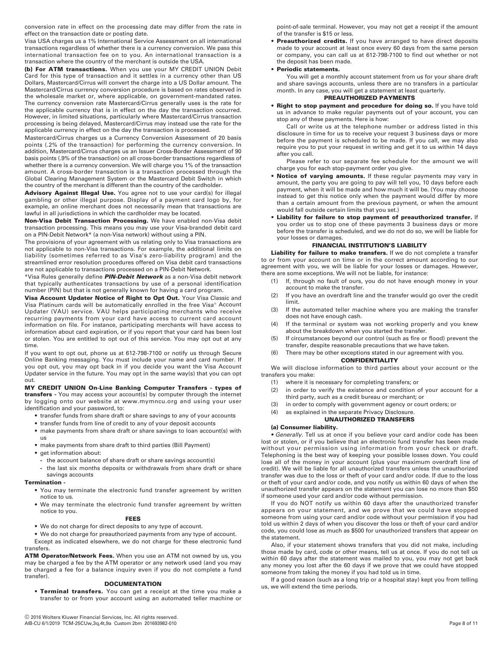conversion rate in effect on the processing date may differ from the rate in effect on the transaction date or posting date.

Visa USA charges us a 1% International Service Assessment on all international transactions regardless of whether there is a currency conversion. We pass this international transaction fee on to you. An international transaction is a transaction where the country of the merchant is outside the USA.

**(b) For ATM transactions.** When you use your MY CREDIT UNION Debit Card for this type of transaction and it settles in a currency other than US Dollars, Mastercard/Cirrus will convert the charge into a US Dollar amount. The Mastercard/Cirrus currency conversion procedure is based on rates observed in the wholesale market or, where applicable, on government-mandated rates. The currency conversion rate Mastercard/Cirrus generally uses is the rate for the applicable currency that is in effect on the day the transaction occurred. However, in limited situations, particularly where Mastercard/Cirrus transaction processing is being delayed, Mastercard/Cirrus may instead use the rate for the applicable currency in effect on the day the transaction is processed.

Mastercard/Cirrus charges us a Currency Conversion Assessment of 20 basis points (.2% of the transaction) for performing the currency conversion. In addition, Mastercard/Cirrus charges us an Issuer Cross-Border Assessment of 90 basis points (.9% of the transaction) on all cross-border transactions regardless of whether there is a currency conversion. We will charge you 1% of the transaction amount. A cross-border transaction is a transaction processed through the Global Clearing Management System or the Mastercard Debit Switch in which the country of the merchant is different than the country of the cardholder.

Advisory Against Illegal Use. You agree not to use your card(s) for illegal gambling or other illegal purpose. Display of a payment card logo by, for example, an online merchant does not necessarily mean that transactions are lawful in all jurisdictions in which the cardholder may be located.

**Non-Visa Debit Transaction Processing.** We have enabled non-Visa debit transaction processing. This means you may use your Visa-branded debit card on a PIN-Debit Network\* (a non-Visa network) without using a PIN.

The provisions of your agreement with us relating only to Visa transactions are not applicable to non-Visa transactions. For example, the additional limits on liability (sometimes referred to as Visa's zero-liability program) and the streamlined error resolution procedures offered on Visa debit card transactions are not applicable to transactions processed on a PIN-Debit Network.

\*Visa Rules generally define *PIN-Debit Network* as a non-Visa debit network that typically authenticates transactions by use of a personal identification number (PIN) but that is not generally known for having a card program.

**Visa Account Updater Notice of Right to Opt Out.** Your Visa Classic and Visa Platinum cards will be automatically enrolled in the free Visa® Account Updater (VAU) service. VAU helps participating merchants who receive recurring payments from your card have access to current card account information on file. For instance, participating merchants will have access to information about card expiration, or if you report that your card has been lost or stolen. You are entitled to opt out of this service. You may opt out at any time.

If you want to opt out, phone us at 612-798-7100 or notify us through Secure Online Banking messaging. You must include your name and card number. If you opt out, you may opt back in if you decide you want the Visa Account Updater service in the future. You may opt in the same way(s) that you can opt out.

#### **MY CREDIT UNION On-Line Banking Computer Transfers - types of transfers -** You may access your account(s) by computer through the internet by logging onto our website at www.mymncu.org and using your user identification and your password, to:

- **•** transfer funds from share draft or share savings to any of your accounts
- **•** transfer funds from line of credit to any of your deposit accounts
- **•** make payments from share draft or share savings to loan account(s) with us
- **•** make payments from share draft to third parties (Bill Payment)
- **•** get information about:
	- **-** the account balance of share draft or share savings account(s)
	- **-** the last six months deposits or withdrawals from share draft or share savings accounts

## **Termination -**

- **•** You may terminate the electronic fund transfer agreement by written notice to us.
- **•** We may terminate the electronic fund transfer agreement by written notice to you.

# **FEES**

**•** We do not charge for direct deposits to any type of account.

**•** We do not charge for preauthorized payments from any type of account. Except as indicated elsewhere, we do not charge for these electronic fund transfers.

**ATM Operator/Network Fees.** When you use an ATM not owned by us, you may be charged a fee by the ATM operator or any network used (and you may be charged a fee for a balance inquiry even if you do not complete a fund transfer).

# **DOCUMENTATION**

**• Terminal transfers.** You can get a receipt at the time you make a transfer to or from your account using an automated teller machine or

point-of-sale terminal. However, you may not get a receipt if the amount of the transfer is \$15 or less.

**• Preauthorized credits.** If you have arranged to have direct deposits made to your account at least once every 60 days from the same person or company, you can call us at 612-798-7100 to find out whether or not the deposit has been made.

# **• Periodic statements.**

You will get a monthly account statement from us for your share draft and share savings accounts, unless there are no transfers in a particular month. In any case, you will get a statement at least quarterly.

# **PREAUTHORIZED PAYMENTS**

**• Right to stop payment and procedure for doing so.** If you have told us in advance to make regular payments out of your account, you can stop any of these payments. Here is how:

Call or write us at the telephone number or address listed in this disclosure in time for us to receive your request 3 business days or more before the payment is scheduled to be made. If you call, we may also require you to put your request in writing and get it to us within 14 days after you call.

Please refer to our separate fee schedule for the amount we will charge you for each stop-payment order you give.

- **Notice of varying amounts.** If these regular payments may vary in amount, the party you are going to pay will tell you, 10 days before each payment, when it will be made and how much it will be. (You may choose instead to get this notice only when the payment would differ by more than a certain amount from the previous payment, or when the amount would fall outside certain limits that you set.)
- **Liability for failure to stop payment of preauthorized transfer.** If

you order us to stop one of these payments 3 business days or more before the transfer is scheduled, and we do not do so, we will be liable for your losses or damages.

# **FINANCIAL INSTITUTION'S LIABILITY**

**Liability for failure to make transfers.** If we do not complete a transfer to or from your account on time or in the correct amount according to our agreement with you, we will be liable for your losses or damages. However, there are some exceptions. We will not be liable, for instance:

- (1) If, through no fault of ours, you do not have enough money in your account to make the transfer.
- (2) If you have an overdraft line and the transfer would go over the credit limit.
- (3) If the automated teller machine where you are making the transfer does not have enough cash.
- (4) If the terminal or system was not working properly and you knew about the breakdown when you started the transfer.
- (5) If circumstances beyond our control (such as fire or flood) prevent the transfer, despite reasonable precautions that we have taken.

#### (6) There may be other exceptions stated in our agreement with you. **CONFIDENTIALITY**

We will disclose information to third parties about your account or the transfers you make:

- (1) where it is necessary for completing transfers; or
- (2) in order to verify the existence and condition of your account for a third party, such as a credit bureau or merchant; or
- (3) in order to comply with government agency or court orders; or
- (4) as explained in the separate Privacy Disclosure.

#### **UNAUTHORIZED TRANSFERS**

# **(a) Consumer liability.**

*• Generally.* Tell us at once if you believe your card and/or code has been lost or stolen, or if you believe that an electronic fund transfer has been made without your permission using information from your check or draft. Telephoning is the best way of keeping your possible losses down. You could lose all of the money in your account (plus your maximum overdraft line of credit). We will be liable for all unauthorized transfers unless the unauthorized transfer was due to the loss or theft of your card and/or code. If due to the loss or theft of your card and/or code, and you notify us within 60 days of when the unauthorized transfer appears on the statement you can lose no more than \$50 if someone used your card and/or code without permission.

If you do NOT notify us within 60 days after the unauthorized transfer appears on your statement, and we prove that we could have stopped someone from using your card and/or code without your permission if you had told us within 2 days of when you discover the loss or theft of your card and/or code, you could lose as much as \$500 for unauthorized transfers that appear on the statement.

Also, if your statement shows transfers that you did not make, including those made by card, code or other means, tell us at once. If you do not tell us within 60 days after the statement was mailed to you, you may not get back any money you lost after the 60 days if we prove that we could have stopped someone from taking the money if you had told us in time.

If a good reason (such as a long trip or a hospital stay) kept you from telling us, we will extend the time periods.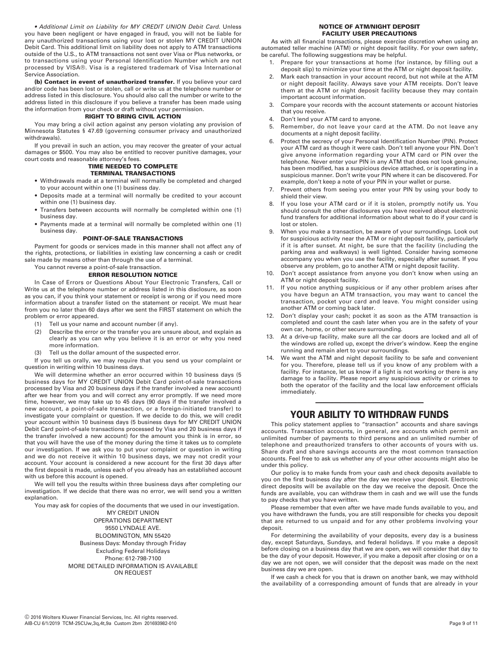*• Additional Limit on Liability for MY CREDIT UNION Debit Card*. Unless you have been negligent or have engaged in fraud, you will not be liable for any unauthorized transactions using your lost or stolen MY CREDIT UNION Debit Card. This additional limit on liability does not apply to ATM transactions outside of the U.S., to ATM transactions not sent over Visa or Plus networks, or to transactions using your Personal Identification Number which are not processed by VISA®. Visa is a registered trademark of Visa International Service Association.

**(b) Contact in event of unauthorized transfer.** If you believe your card and/or code has been lost or stolen, call or write us at the telephone number or address listed in this disclosure. You should also call the number or write to the address listed in this disclosure if you believe a transfer has been made using the information from your check or draft without your permission.

## **RIGHT TO BRING CIVIL ACTION**

You may bring a civil action against any person violating any provision of Minnesota Statutes § 47.69 (governing consumer privacy and unauthorized withdrawals).

If you prevail in such an action, you may recover the greater of your actual damages or \$500. You may also be entitled to recover punitive damages, your court costs and reasonable attorney's fees.

#### **TIME NEEDED TO COMPLETE TERMINAL TRANSACTIONS**

- **•** Withdrawals made at a terminal will normally be completed and charged to your account within one (1) business day.
- **•** Deposits made at a terminal will normally be credited to your account within one (1) business day.
- **•** Transfers between accounts will normally be completed within one (1) business day.
- **•** Payments made at a terminal will normally be completed within one (1) business day.

# **POINT-OF-SALE TRANSACTIONS**

Payment for goods or services made in this manner shall not affect any of the rights, protections, or liabilities in existing law concerning a cash or credit sale made by means other than through the use of a terminal.

You cannot reverse a point-of-sale transaction.

# **ERROR RESOLUTION NOTICE**

In Case of Errors or Questions About Your Electronic Transfers, Call or Write us at the telephone number or address listed in this disclosure, as soon as you can, if you think your statement or receipt is wrong or if you need more information about a transfer listed on the statement or receipt. We must hear from you no later than 60 days after we sent the FIRST statement on which the problem or error appeared.

- (1) Tell us your name and account number (if any).
- (2) Describe the error or the transfer you are unsure about, and explain as clearly as you can why you believe it is an error or why you need more information.
- (3) Tell us the dollar amount of the suspected error.

If you tell us orally, we may require that you send us your complaint or question in writing within 10 business days.

We will determine whether an error occurred within 10 business days (5 business days for MY CREDIT UNION Debit Card point-of-sale transactions processed by Visa and 20 business days if the transfer involved a new account) after we hear from you and will correct any error promptly. If we need more time, however, we may take up to 45 days (90 days if the transfer involved a new account, a point-of-sale transaction, or a foreign-initiated transfer) to investigate your complaint or question. If we decide to do this, we will credit your account within 10 business days (5 business days for MY CREDIT UNION Debit Card point-of-sale transactions processed by Visa and 20 business days if the transfer involved a new account) for the amount you think is in error, so that you will have the use of the money during the time it takes us to complete our investigation. If we ask you to put your complaint or question in writing and we do not receive it within 10 business days, we may not credit your account. Your account is considered a new account for the first 30 days after the first deposit is made, unless each of you already has an established account with us before this account is opened.

We will tell you the results within three business days after completing our investigation. If we decide that there was no error, we will send you a written explanation.

You may ask for copies of the documents that we used in our investigation.

MY CREDIT UNION OPERATIONS DEPARTMENT 9550 LYNDALE AVE. BLOOMINGTON, MN 55420 Business Days: Monday through Friday Excluding Federal Holidays Phone: 612-798-7100 MORE DETAILED INFORMATION IS AVAILABLE ON REQUEST

## **NOTICE OF ATM/NIGHT DEPOSIT FACILITY USER PRECAUTIONS**

As with all financial transactions, please exercise discretion when using an automated teller machine (ATM) or night deposit facility. For your own safety, be careful. The following suggestions may be helpful.

- 1. Prepare for your transactions at home (for instance, by filling out a deposit slip) to minimize your time at the ATM or night deposit facility.
- Mark each transaction in your account record, but not while at the ATM or night deposit facility. Always save your ATM receipts. Don't leave them at the ATM or night deposit facility because they may contain important account information.
- 3. Compare your records with the account statements or account histories that you receive.
- 4. Don't lend your ATM card to anyone.
- 5. Remember, do not leave your card at the ATM. Do not leave any documents at a night deposit facility.
- 6. Protect the secrecy of your Personal Identification Number (PIN). Protect your ATM card as though it were cash. Don't tell anyone your PIN. Don't give anyone information regarding your ATM card or PIN over the telephone. Never enter your PIN in any ATM that does not look genuine, has been modified, has a suspicious device attached, or is operating in a suspicious manner. Don't write your PIN where it can be discovered. For example, don't keep a note of your PIN in your wallet or purse.
- 7. Prevent others from seeing you enter your PIN by using your body to shield their view.
- If you lose your ATM card or if it is stolen, promptly notify us. You should consult the other disclosures you have received about electronic fund transfers for additional information about what to do if your card is lost or stolen.
- 9. When you make a transaction, be aware of your surroundings. Look out for suspicious activity near the ATM or night deposit facility, particularly if it is after sunset. At night, be sure that the facility (including the parking area and walkways) is well lighted. Consider having someone accompany you when you use the facility, especially after sunset. If you observe any problem, go to another ATM or night deposit facility.
- Don't accept assistance from anyone you don't know when using an ATM or night deposit facility.
- 11. If you notice anything suspicious or if any other problem arises after you have begun an ATM transaction, you may want to cancel the transaction, pocket your card and leave. You might consider using another ATM or coming back later.
- 12. Don't display your cash; pocket it as soon as the ATM transaction is completed and count the cash later when you are in the safety of your own car, home, or other secure surrounding.
- 13. At a drive-up facility, make sure all the car doors are locked and all of the windows are rolled up, except the driver's window. Keep the engine running and remain alert to your surroundings.
- We want the ATM and night deposit facility to be safe and convenient for you. Therefore, please tell us if you know of any problem with a facility. For instance, let us know if a light is not working or there is any damage to a facility. Please report any suspicious activity or crimes to both the operator of the facility and the local law enforcement officials immediately.

# ————————————— **YOUR ABILITY TO WITHDRAW FUNDS**

This policy statement applies to "transaction" accounts and share savings accounts. Transaction accounts, in general, are accounts which permit an unlimited number of payments to third persons and an unlimited number of telephone and preauthorized transfers to other accounts of yours with us. Share draft and share savings accounts are the most common transaction accounts. Feel free to ask us whether any of your other accounts might also be under this policy.

Our policy is to make funds from your cash and check deposits available to you on the first business day after the day we receive your deposit. Electronic direct deposits will be available on the day we receive the deposit. Once the funds are available, you can withdraw them in cash and we will use the funds to pay checks that you have written.

Please remember that even after we have made funds available to you, and you have withdrawn the funds, you are still responsible for checks you deposit that are returned to us unpaid and for any other problems involving your deposit.

For determining the availability of your deposits, every day is a business day, except Saturdays, Sundays, and federal holidays. If you make a deposit before closing on a business day that we are open, we will consider that day to be the day of your deposit. However, if you make a deposit after closing or on a day we are not open, we will consider that the deposit was made on the next business day we are open.

If we cash a check for you that is drawn on another bank, we may withhold the availability of a corresponding amount of funds that are already in your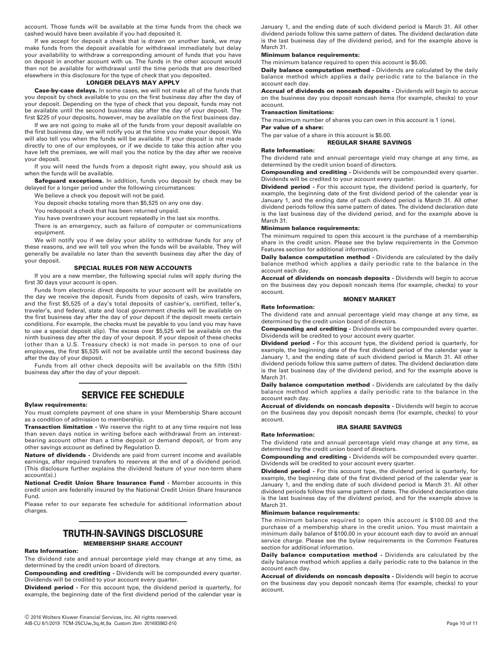account. Those funds will be available at the time funds from the check we cashed would have been available if you had deposited it.

If we accept for deposit a check that is drawn on another bank, we may make funds from the deposit available for withdrawal immediately but delay your availability to withdraw a corresponding amount of funds that you have on deposit in another account with us. The funds in the other account would then not be available for withdrawal until the time periods that are described elsewhere in this disclosure for the type of check that you deposited.

# **LONGER DELAYS MAY APPLY**

**Case-by-case delays.** In some cases, we will not make all of the funds that you deposit by check available to you on the first business day after the day of your deposit. Depending on the type of check that you deposit, funds may not be available until the second business day after the day of your deposit. The first \$225 of your deposits, however, may be available on the first business day.

If we are not going to make all of the funds from your deposit available on the first business day, we will notify you at the time you make your deposit. We will also tell you when the funds will be available. If your deposit is not made directly to one of our employees, or if we decide to take this action after you have left the premises, we will mail you the notice by the day after we receive your deposit.

If you will need the funds from a deposit right away, you should ask us when the funds will be available.

**Safeguard exceptions.** In addition, funds you deposit by check may be delayed for a longer period under the following circumstances:

We believe a check you deposit will not be paid.

You deposit checks totaling more than \$5,525 on any one day.

You redeposit a check that has been returned unpaid.

You have overdrawn your account repeatedly in the last six months.

There is an emergency, such as failure of computer or communications equipment.

We will notify you if we delay your ability to withdraw funds for any of these reasons, and we will tell you when the funds will be available. They will generally be available no later than the seventh business day after the day of your deposit.

#### **SPECIAL RULES FOR NEW ACCOUNTS**

If you are a new member, the following special rules will apply during the first 30 days your account is open.

Funds from electronic direct deposits to your account will be available on the day we receive the deposit. Funds from deposits of cash, wire transfers, and the first \$5,525 of a day's total deposits of cashier's, certified, teller's, traveler's, and federal, state and local government checks will be available on the first business day after the day of your deposit if the deposit meets certain conditions. For example, the checks must be payable to you (and you may have to use a special deposit slip). The excess over \$5,525 will be available on the ninth business day after the day of your deposit. If your deposit of these checks (other than a U.S. Treasury check) is not made in person to one of our employees, the first \$5,525 will not be available until the second business day after the day of your deposit.

Funds from all other check deposits will be available on the fifth (5th) business day after the day of your deposit.

# ————————————— **SERVICE FEE SCHEDULE**

#### **Bylaw requirements:**

You must complete payment of one share in your Membership Share account as a condition of admission to membership.

**Transaction limitation -** We reserve the right to at any time require not less than seven days notice in writing before each withdrawal from an interestbearing account other than a time deposit or demand deposit, or from any other savings account as defined by Regulation D.

**Nature of dividends -** Dividends are paid from current income and available earnings, after required transfers to reserves at the end of a dividend period. (This disclosure further explains the dividend feature of your non-term share account(s).)

**National Credit Union Share Insurance Fund -** Member accounts in this credit union are federally insured by the National Credit Union Share Insurance Fund.

Please refer to our separate fee schedule for additional information about charges.

# ————————————— **TRUTH-IN-SAVINGS DISCLOSURE**

# **MEMBERSHIP SHARE ACCOUNT**

# **Rate Information:**

The dividend rate and annual percentage yield may change at any time, as determined by the credit union board of directors.

**Compounding and crediting -** Dividends will be compounded every quarter. Dividends will be credited to your account every quarter.

**Dividend period -** For this account type, the dividend period is quarterly, for example, the beginning date of the first dividend period of the calendar year is

January 1, and the ending date of such dividend period is March 31. All other dividend periods follow this same pattern of dates. The dividend declaration date is the last business day of the dividend period, and for the example above is March 31.

# **Minimum balance requirements:**

The minimum balance required to open this account is \$5.00.

**Daily balance computation method -** Dividends are calculated by the daily balance method which applies a daily periodic rate to the balance in the account each day.

**Accrual of dividends on noncash deposits -** Dividends will begin to accrue on the business day you deposit noncash items (for example, checks) to your account.

## **Transaction limitations:**

The maximum number of shares you can own in this account is 1 (one).

**Par value of a share:**

The par value of a share in this account is \$5.00.

#### **REGULAR SHARE SAVINGS**

#### **Rate Information:**

The dividend rate and annual percentage yield may change at any time, as determined by the credit union board of directors.

**Compounding and crediting -** Dividends will be compounded every quarter. Dividends will be credited to your account every quarter.

**Dividend period -** For this account type, the dividend period is quarterly, for example, the beginning date of the first dividend period of the calendar year is January 1, and the ending date of such dividend period is March 31. All other dividend periods follow this same pattern of dates. The dividend declaration date is the last business day of the dividend period, and for the example above is March 31.

# **Minimum balance requirements:**

The minimum required to open this account is the purchase of a membership share in the credit union. Please see the bylaw requirements in the Common Features section for additional information.

**Daily balance computation method -** Dividends are calculated by the daily balance method which applies a daily periodic rate to the balance in the account each day.

**Accrual of dividends on noncash deposits -** Dividends will begin to accrue on the business day you deposit noncash items (for example, checks) to your account. **MONEY MARKET** 

#### **Rate Information:**

#### The dividend rate and annual percentage yield may change at any time, as determined by the credit union board of directors.

**Compounding and crediting -** Dividends will be compounded every quarter. Dividends will be credited to your account every quarter.

**Dividend period -** For this account type, the dividend period is quarterly, for example, the beginning date of the first dividend period of the calendar year is January 1, and the ending date of such dividend period is March 31. All other dividend periods follow this same pattern of dates. The dividend declaration date is the last business day of the dividend period, and for the example above is March 31.

**Daily balance computation method -** Dividends are calculated by the daily balance method which applies a daily periodic rate to the balance in the account each day.

**Accrual of dividends on noncash deposits -** Dividends will begin to accrue on the business day you deposit noncash items (for example, checks) to your account.

#### **IRA SHARE SAVINGS**

#### **Rate Information:**

The dividend rate and annual percentage yield may change at any time, as determined by the credit union board of directors.

**Compounding and crediting -** Dividends will be compounded every quarter. Dividends will be credited to your account every quarter.

**Dividend period -** For this account type, the dividend period is quarterly, for example, the beginning date of the first dividend period of the calendar year is January 1, and the ending date of such dividend period is March 31. All other dividend periods follow this same pattern of dates. The dividend declaration date is the last business day of the dividend period, and for the example above is March 31.

#### **Minimum balance requirements:**

The minimum balance required to open this account is \$100.00 and the purchase of a membership share in the credit union. You must maintain a minimum daily balance of \$100.00 in your account each day to avoid an annual service charge. Please see the bylaw requirements in the Common Features section for additional information.

**Daily balance computation method -** Dividends are calculated by the daily balance method which applies a daily periodic rate to the balance in the account each day.

**Accrual of dividends on noncash deposits -** Dividends will begin to accrue on the business day you deposit noncash items (for example, checks) to your account.